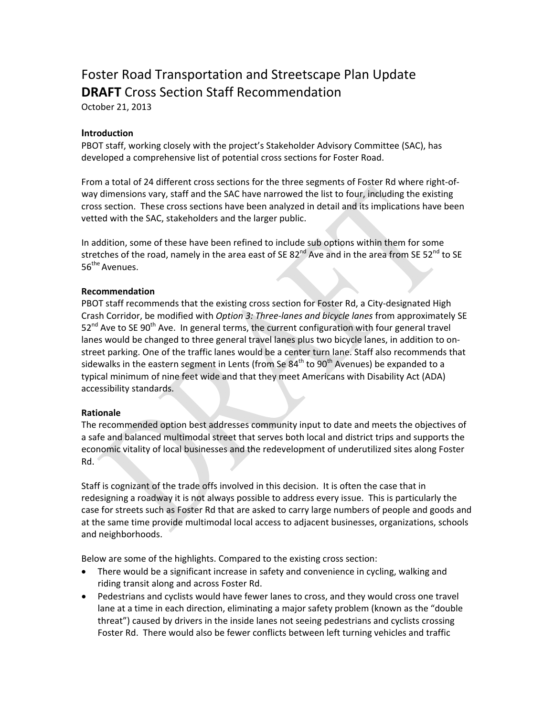# Foster Road Transportation and Streetscape Plan Update **DRAFT** Cross Section Staff Recommendation

October 21, 2013

## **Introduction**

PBOT staff, working closely with the project's Stakeholder Advisory Committee (SAC), has developed a comprehensive list of potential cross sections for Foster Road.

From a total of 24 different cross sections for the three segments of Foster Rd where right-ofway dimensions vary, staff and the SAC have narrowed the list to four, including the existing cross section. These cross sections have been analyzed in detail and its implications have been vetted with the SAC, stakeholders and the larger public.

In addition, some of these have been refined to include sub options within them for some stretches of the road, namely in the area east of SE 82<sup>nd</sup> Ave and in the area from SE 52<sup>nd</sup> to SE 56<sup>the</sup> Avenues.

#### **Recommendation**

PBOT staff recommends that the existing cross section for Foster Rd, a City-designated High Crash Corridor, be modified with *Option 3: ThreeͲlanes and bicycle lanes* from approximately SE  $52<sup>nd</sup>$  Ave to SE 90<sup>th</sup> Ave. In general terms, the current configuration with four general travel lanes would be changed to three general travel lanes plus two bicycle lanes, in addition to onstreet parking. One of the traffic lanes would be a center turn lane. Staff also recommends that sidewalks in the eastern segment in Lents (from Se  $84<sup>th</sup>$  to 90<sup>th</sup> Avenues) be expanded to a typical minimum of nine feet wide and that they meet Americans with Disability Act (ADA) accessibility standards.

#### **Rationale**

The recommended option best addresses community input to date and meets the objectives of a safe and balanced multimodal street that serves both local and district trips and supports the economic vitality of local businesses and the redevelopment of underutilized sites along Foster Rd.

Staff is cognizant of the trade offs involved in this decision. It is often the case that in redesigning a roadway it is not always possible to address every issue. This is particularly the case for streets such as Foster Rd that are asked to carry large numbers of people and goods and at the same time provide multimodal local access to adjacent businesses, organizations, schools and neighborhoods.

Below are some of the highlights. Compared to the existing cross section:

- There would be a significant increase in safety and convenience in cycling, walking and riding transit along and across Foster Rd.
- Pedestrians and cyclists would have fewer lanes to cross, and they would cross one travel lane at a time in each direction, eliminating a major safety problem (known as the "double threat") caused by drivers in the inside lanes not seeing pedestrians and cyclists crossing Foster Rd. There would also be fewer conflicts between left turning vehicles and traffic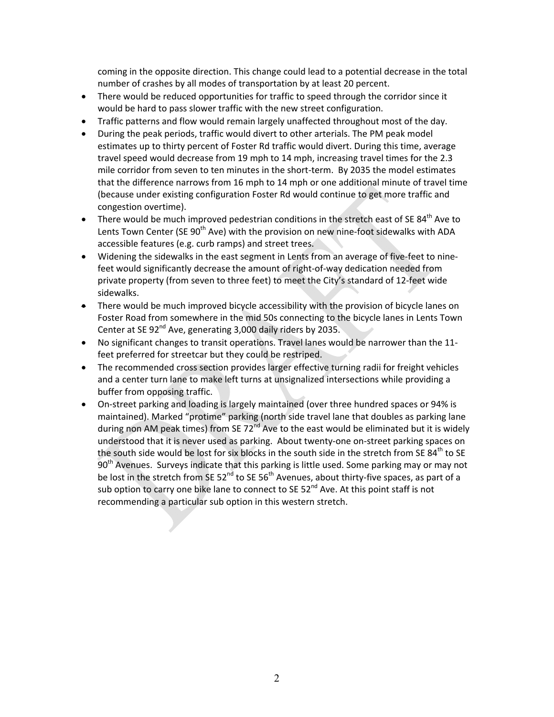coming in the opposite direction. This change could lead to a potential decrease in the total number of crashes by all modes of transportation by at least 20 percent.

- There would be reduced opportunities for traffic to speed through the corridor since it would be hard to pass slower traffic with the new street configuration.
- Traffic patterns and flow would remain largely unaffected throughout most of the day.
- During the peak periods, traffic would divert to other arterials. The PM peak model estimates up to thirty percent of Foster Rd traffic would divert. During this time, average travel speed would decrease from 19 mph to 14 mph, increasing travel times for the 2.3 mile corridor from seven to ten minutes in the short-term. By 2035 the model estimates that the difference narrows from 16 mph to 14 mph or one additional minute of travel time (because under existing configuration Foster Rd would continue to get more traffic and congestion overtime).
- There would be much improved pedestrian conditions in the stretch east of SE 84<sup>th</sup> Ave to Lents Town Center (SE 90<sup>th</sup> Ave) with the provision on new nine-foot sidewalks with ADA accessible features (e.g. curb ramps) and street trees.
- Widening the sidewalks in the east segment in Lents from an average of five-feet to ninefeet would significantly decrease the amount of right-of-way dedication needed from private property (from seven to three feet) to meet the City's standard of 12-feet wide sidewalks.
- There would be much improved bicycle accessibility with the provision of bicycle lanes on Foster Road from somewhere in the mid 50s connecting to the bicycle lanes in Lents Town Center at SE  $92<sup>nd</sup>$  Ave, generating 3,000 daily riders by 2035.
- No significant changes to transit operations. Travel lanes would be narrower than the 11feet preferred for streetcar but they could be restriped.
- The recommended cross section provides larger effective turning radii for freight vehicles and a center turn lane to make left turns at unsignalized intersections while providing a buffer from opposing traffic.
- On-street parking and loading is largely maintained (over three hundred spaces or 94% is maintained). Marked "protime" parking (north side travel lane that doubles as parking lane during non AM peak times) from SE  $72^{nd}$  Ave to the east would be eliminated but it is widely understood that it is never used as parking. About twenty-one on-street parking spaces on the south side would be lost for six blocks in the south side in the stretch from SE  $84<sup>th</sup>$  to SE 90<sup>th</sup> Avenues. Surveys indicate that this parking is little used. Some parking may or may not be lost in the stretch from SE  $52^{nd}$  to SE  $56^{th}$  Avenues, about thirty-five spaces, as part of a sub option to carry one bike lane to connect to SE  $52^{nd}$  Ave. At this point staff is not recommending a particular sub option in this western stretch.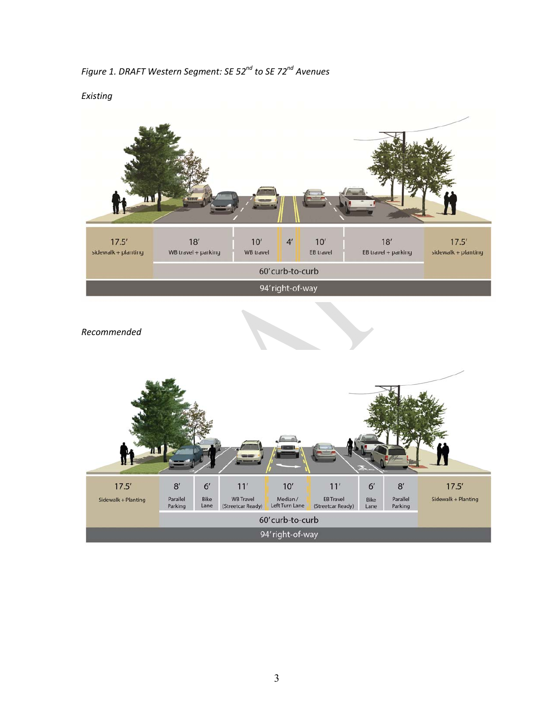*Figure 1. DRAFT Western Segment: SE 52nd to SE 72nd Avenues*

*Existing*



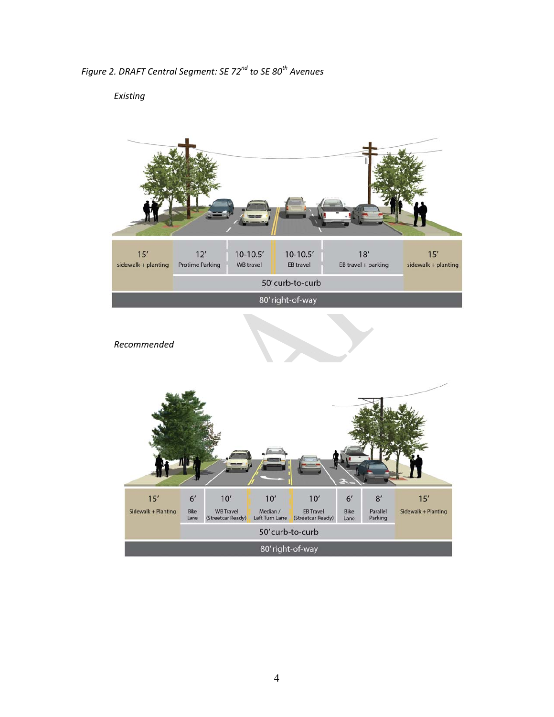*Figure 2. DRAFT Central Segment: SE 72nd to SE 80th Avenues*

# *Existing*